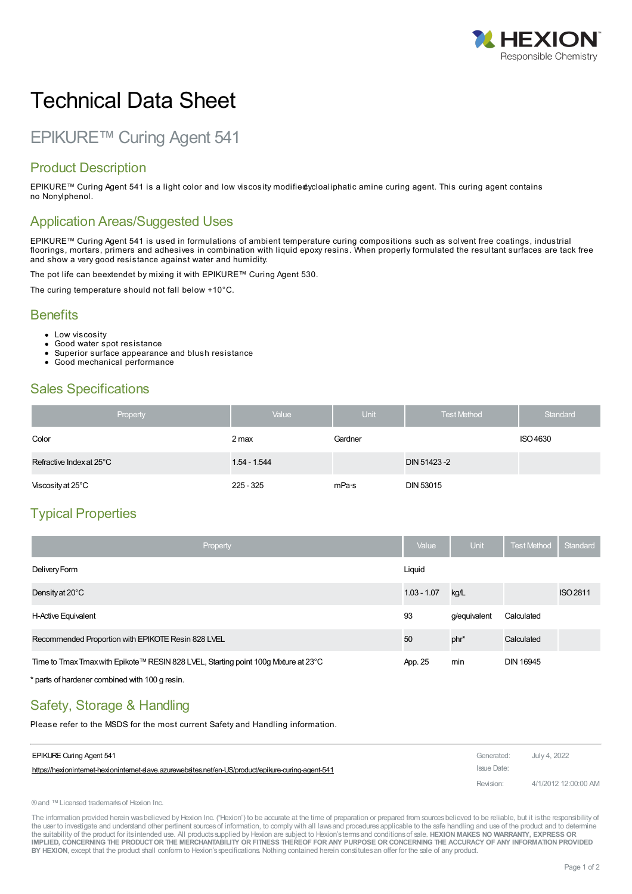

# Technical Data Sheet

# EPIKURE™ Curing Agent 541

#### Product Description

EPIKURE™ Curing Agent 541 is a light color and low viscosity modifiedycloaliphatic amine curing agent. This curing agent contains no Nonylphenol.

#### Application Areas/Suggested Uses

EPIKURE™ Curing Agent 541 is used in formulations of ambient temperature curing compositions such as solvent free coatings, industrial floorings, mortars, primers and adhesives in combination with liquid epoxy resins. When properly formulated the resultant surfaces are tack free and show a very good resistance against water and humidity.

The pot life can beextendet by mixing it with EPIKURE™ Curing Agent 530.

The curing temperature should not fall below +10°C.

#### **Benefits**

- Low viscosity
- Good water spot resistance
- Superior surface appearance and blush resistance
- Good mechanical performance

# Sales Specifications

| Property                 | Value          | Unit    | <b>Test Method</b> | Standard |
|--------------------------|----------------|---------|--------------------|----------|
| Color                    | 2 max          | Gardner |                    | ISO 4630 |
| Refractive Index at 25°C | $1.54 - 1.544$ |         | DIN 51423-2        |          |
| Viscosity at 25°C        | $225 - 325$    | mPa·s   | <b>DIN 53015</b>   |          |

# Typical Properties

| Property                                                                           | Value         | <b>Unit</b>  | <b>Test Method</b> | Standard        |
|------------------------------------------------------------------------------------|---------------|--------------|--------------------|-----------------|
| Delivery Form                                                                      | Liguid        |              |                    |                 |
| Density at $20^{\circ}$ C                                                          | $1.03 - 1.07$ | kg/L         |                    | <b>ISO 2811</b> |
| H-Active Equivalent                                                                | 93            | g/equivalent | Calculated         |                 |
| Recommended Proportion with EPIKOTE Resin 828 LVEL                                 | 50            | phr*         | Calculated         |                 |
| Time to Tmax Tmax with Epikote™ RESIN 828 LVEL, Starting point 100g Mxture at 23°C | App. 25       | min          | <b>DIN 16945</b>   |                 |

\* parts of hardener combined with 100 g resin.

# Safety, Storage & Handling

Please refer to the MSDS for the most current Safety and Handling information.

| <b>EPIKURE Curing Agent 541</b>                                                                      | Generated:  | July 4, 2022         |
|------------------------------------------------------------------------------------------------------|-------------|----------------------|
| https://hexioninternet-hexioninternet-slave.azurewebsites.net/en-US/product/epikure-curing-agent-541 | Issue Date: |                      |
|                                                                                                      | Revision:   | 4/1/2012 12:00:00 AM |

®and ™Licensed trademarksof Hexion Inc.

The information provided herein was believed by Hexion Inc. ("Hexion") to be accurate at the time of preparation or prepared from sources believed to be reliable, but it is the responsibility of the user to investigate and understand other pertinent sources of information, to comply with all laws and procedures applicable to the safe handling and use of the product and to determine the suitability of the product for itsintended use. All productssupplied by Hexion are subject to Hexion'stermsand conditionsof sale. **HEXION MAKES NO WARRANTY, EXPRESS OR** IMPLIED, CONCERNING THE PRODUCT OR THE MERCHANTABILITY OR FITNESS THEREOF FOR ANY PURPOSE OR CONCERNING THE ACCURACY OF ANY INFORMATION PROVIDED **BY HEXION**, except that the product shall conform to Hexion'sspecifications. Nothing contained herein constitutesan offer for the sale of any product.